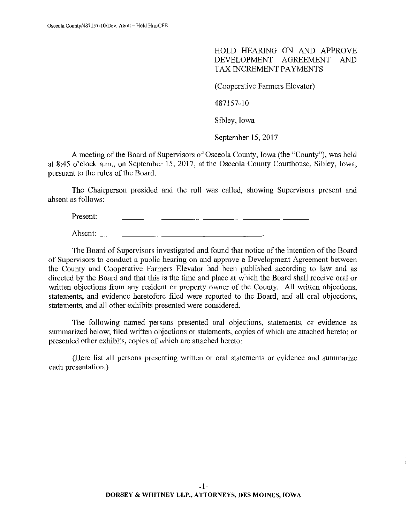HOLD HEARING ON AND APPROVE DEVELOPMENT AGREEMENT AND TAX INCREMENT PAYMENTS

(Cooperative Farmers Elevator)

487157-10

Sibley, Iowa

September 15,2017

A meeting of the Board of Supervisors of Osceola County, Iowa (the "County"), was held at 8:45 o'clock a.m., on September 15,2017, at the Osceola County Courthouse, Sibley, Iowa, pursuant to the rules of the Board.

The Chairperson presided and the roll was called, showing Supervisors present and absent as follows:

Present: \_\_\_\_\_\_\_\_\_\_\_\_\_\_\_\_\_\_\_\_\_\_\_ \_

Absent:  $\frac{1}{2}$ 

The Board of Supervisors investigated and found that notice of the intention of the Board of Supervisors to conduct a public hearing on and approve a Development Agreement between the County and Cooperative Farmers Elevator had been published according to law and as directed by the Board and that this is the time and place at which the Board shall receive oral or written objections from any resident or property owner of the County. All written objections, statements, and evidence heretofore filed were reported to the Board, and all oral objections, statements, and all other exhibits presented were considered.

The following named persons presented oral objections, statements, or evidence as summarized below; filed written objections or statements, copies of which are attached hereto; or presented other exhibits, copies of which are attached hereto:

(Here list all persons presenting written or oral statements or evidence and summarize each presentation.)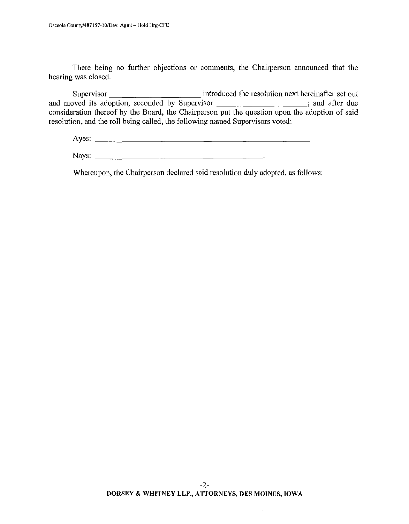There being no further objections or comments, the Chairperson announced that the hearing was closed.

Supervisor introduced the resolution next hereinafter set out and moved its adoption, seconded by Supervisor **interest and actival** and after due consideration thereof by the Board, the Chairperson put the question upon the adoption of said resolution, and the roll being called, the following named Supervisors voted:

Ayes:

Nays:

Whereupon, the Chairperson declared said resolution duly adopted, as follows: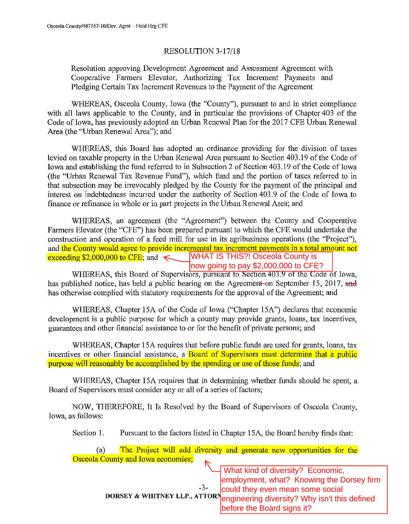## RESOLUTION 3-17/18

Resolution approving Development Agreement and Assessment Agreement with Cooperative Farmers Elevator, Authorizing Tax Increment Payments and Pledging Certain Tax Increment Revenues to the Payment of the Agreement

WHEREAS, Osceola County, Iowa (the "County"), pursuant to and in strict compliance with all laws applicable to the County, and in particular the provisions of Chapter 403 of the Code of Iowa, has previously adopted an Urban Renewal Plan for the 2017 CFE Urban Renewal Area (the "Urban Renewal Area"); and

WHEREAS, this Board has adopted an ordinance providing for the division of taxes levied on taxable property in the Urban Renewal Area pursuant to Section 403.19 of the Code of Iowa and establishing the fund referred to in Subsection 2 of Section 403.19 of the Code of Iowa (the "Urban Renewal Tax Revenue Fund"), which fund and the portion of taxes referred to in that subsection may be irrevocably pledged by the County for the payment of the principal and interest on indebtedness incurred under the authority of Section 403.9 of the Code of Iowa to finance or refinance in whole or in part projects in the Urban Renewal Area; and

WHEREAS, an agreement (the "Agreement") between the County and Cooperative Farmers Elevator (the "CFE") has been prepared pursuant to which the CFE would undertake the construction and operation of a feed mill for use in its agribusiness operations (the "Project"), and the County would agree to provide incremental tax increment payments in a total amount not exceeding  $$2,000,000$  to CFE; and WHAT IS THIS?! Osceola County is now going to pay \$2,000,000 to CFE?

WHEREAS, this Board of Supervisors, pursuant to Section 403.9 of the Code of Iowa, has published notice, has held a public hearing on the Agreement on September 15, 2017, and has otherwise complied with statutory requirements for the approval of the Agreement; and

WHEREAS, Chapter 15A of the Code of Iowa ("Chapter 15A") declares that economic development is a public purpose for which a county may provide grants, loans, tax incentives, guarantees and other financial assistance to or for the benefit of private persons; and

WHEREAS, Chapter 15A requires that before public funds are used for grants, loans, tax incentives or other financial assistance, a **Board of Supervisors must determine that a public** purpose will reasonably be accomplished by the spending or use of those funds; and

WHEREAS, Chapter 15A requires that in determining whether funds should be spent, a Board of Supervisors must consider any or all of a series of factors;

NOW, THEREFORE, It Is Resolved by the Board of Supervisors of Osceola County, Iowa, as follows:

Section 1. Pursuant to the factors listed in Chapter 15A, the Board hereby finds that:

(a) The Project will add diversity and generate new opportunities for the Osceola County and Iowa economies;

> -3- **DORSEY & WHITNEY LLP., ATTORN engineering diversity? Why isn't this defined**  What kind of diversity? Economic, employment, what? Knowing the Dorsey firm could they even mean some social before the Board signs it?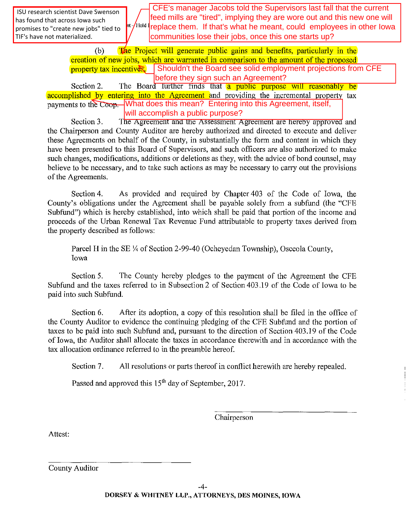promises to "create new jobs" tied to  $\int_0^{\ln}$  Hold  $\frac{1}{2}$ **repla**  ISU research scientist Dave Swenson has found that across Iowa such TIF's have not materialized.

 CFE's manager Jacobs told the Supervisors last fall that the current feed mills are "tired", implying they are wore out and this new one will <sup>nt /Hold t</sup>replace them. If that's what he meant, could employees in other lowa

(b) The Project will generate public gains and benefits, particularly in the creation of new jobs, which are warranted in comparison to the amount of the proposed property tax incentives. Shouldn't the Board see solid employment projections from CFE communities lose their jobs, once this one starts up?<br>
Shouldn't the Board see solid employment projections from CFE<br>
Shouldn't the Board see solid employment projections from CFE before they sign such an Agreement?

Section 2. The Board further finds that a public purpose will reasonably be accomplished by entering into the Agreement and providing the incremental property tax payments to the C<del>oop. U</del>What does this mean? Entering into this Agreement, itself, will accomplish a public purpose?

Section 3. The Agreement and the Assessment Agreement are hereby approved and the Chairperson and County Auditor are hereby authorized and directed to execute and deliver these Agreements on behalf of the County, in substantially the form and content in which they have been presented to this Board of Supervisors, and such officers are also authorized to make such changes, modifications, additions or deletions as they, with the advice of bond counsel, may believe to be necessary, and to take such actions as may be necessary to cany out the provisions of the Agreements.

Section 4. As provided and required by Chapter 403 of the Code of Iowa, the County's obligations under the Agreement shall be payable solely from a subfund (the "CFE Subfund") which is hereby established, into which shall be paid that portion of the income and proceeds of the Urban Renewal Tax Revenue Fund attributable to property taxes derived from the property described as follows:

Parcel H in the SE  $\frac{1}{4}$  of Section 2-99-40 (Ocheyedan Township), Osceola County, Iowa

Section 5. The County hereby pledges to the payment of the Agreement the CFE Subfund and the taxes referred to in Subsection 2 of Section 403.19 of the Code of Iowa to be paid into such Subfund.

Section 6. After its adoption, a copy of this resolution shall be filed in the office of the County Auditor to evidence the continuing pledging of the CFE Subfund and the portion of taxes to be paid into such Subfund and, pursuant to the direction of Section 403.19 of the Code of Iowa, the Auditor shall allocate the taxes in accordance therewith and in accordance with the tax allocation ordinance referred to in the preamble hereof.

Section 7. All resolutions or parts thereof in conflict herewith are hereby repealed.

Passed and approved this 15<sup>th</sup> day of September, 2017.

Chairperson

Attest: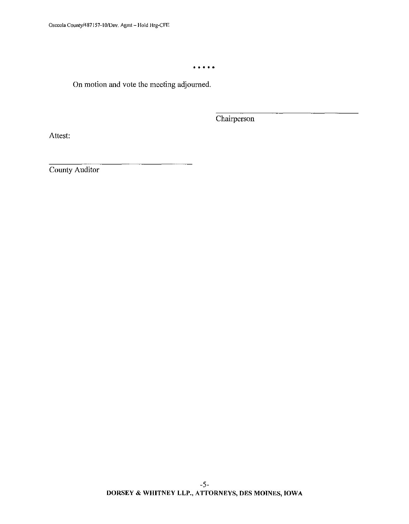• • • • •

On motion and vote the meeting adjourned.

Chairperson

Attest: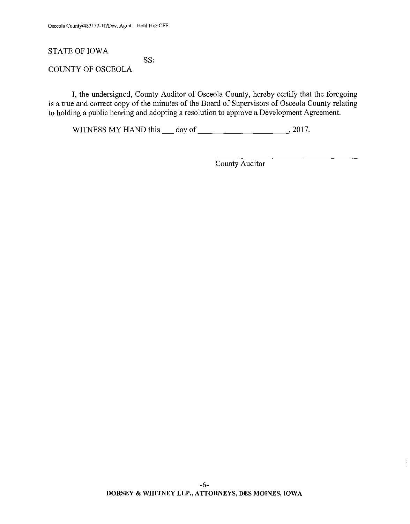## STATE OF IOWA

SS:

COUNTY OF OSCEOLA

I, the undersigned, County Auditor of Osceola County, hereby certify that the foregoing is a true and correct copy of the minutes of the Board of Supervisors of Osceola County relating to holding a public hearing and adopting a resolution to approve a Development Agreement.

WITNESS MY HAND this  $\_\_\_$  day of  $\_\_\_\_\_\_\_$ . 2017.